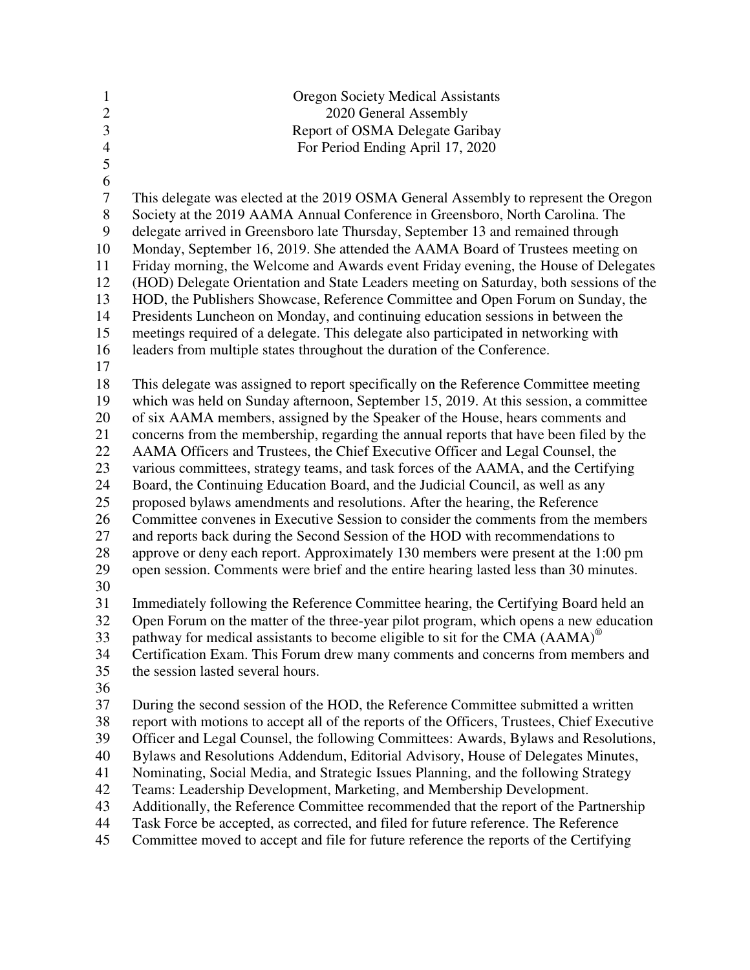| $\mathbf{1}$<br>$\overline{2}$<br>$\overline{3}$<br>$\overline{4}$<br>5             | <b>Oregon Society Medical Assistants</b><br>2020 General Assembly<br>Report of OSMA Delegate Garibay<br>For Period Ending April 17, 2020                                                                                                                                                                                                                                                                                                                                                                                                                                                                                                                                                                                                                                                                                                                                                                                                                                                                                                                 |
|-------------------------------------------------------------------------------------|----------------------------------------------------------------------------------------------------------------------------------------------------------------------------------------------------------------------------------------------------------------------------------------------------------------------------------------------------------------------------------------------------------------------------------------------------------------------------------------------------------------------------------------------------------------------------------------------------------------------------------------------------------------------------------------------------------------------------------------------------------------------------------------------------------------------------------------------------------------------------------------------------------------------------------------------------------------------------------------------------------------------------------------------------------|
| 6<br>$\boldsymbol{7}$<br>$8\,$<br>9<br>10<br>11<br>12<br>13<br>14<br>15<br>16<br>17 | This delegate was elected at the 2019 OSMA General Assembly to represent the Oregon<br>Society at the 2019 AAMA Annual Conference in Greensboro, North Carolina. The<br>delegate arrived in Greensboro late Thursday, September 13 and remained through<br>Monday, September 16, 2019. She attended the AAMA Board of Trustees meeting on<br>Friday morning, the Welcome and Awards event Friday evening, the House of Delegates<br>(HOD) Delegate Orientation and State Leaders meeting on Saturday, both sessions of the<br>HOD, the Publishers Showcase, Reference Committee and Open Forum on Sunday, the<br>Presidents Luncheon on Monday, and continuing education sessions in between the<br>meetings required of a delegate. This delegate also participated in networking with<br>leaders from multiple states throughout the duration of the Conference.                                                                                                                                                                                       |
| 18<br>19<br>20<br>21<br>22<br>23<br>24<br>25<br>26<br>27<br>28<br>29<br>30          | This delegate was assigned to report specifically on the Reference Committee meeting<br>which was held on Sunday afternoon, September 15, 2019. At this session, a committee<br>of six AAMA members, assigned by the Speaker of the House, hears comments and<br>concerns from the membership, regarding the annual reports that have been filed by the<br>AAMA Officers and Trustees, the Chief Executive Officer and Legal Counsel, the<br>various committees, strategy teams, and task forces of the AAMA, and the Certifying<br>Board, the Continuing Education Board, and the Judicial Council, as well as any<br>proposed bylaws amendments and resolutions. After the hearing, the Reference<br>Committee convenes in Executive Session to consider the comments from the members<br>and reports back during the Second Session of the HOD with recommendations to<br>approve or deny each report. Approximately 130 members were present at the 1:00 pm<br>open session. Comments were brief and the entire hearing lasted less than 30 minutes. |
| 31<br>32<br>33<br>34<br>35<br>36                                                    | Immediately following the Reference Committee hearing, the Certifying Board held an<br>Open Forum on the matter of the three-year pilot program, which opens a new education<br>pathway for medical assistants to become eligible to sit for the CMA $(AAMA)^{\circledcirc}$<br>Certification Exam. This Forum drew many comments and concerns from members and<br>the session lasted several hours.                                                                                                                                                                                                                                                                                                                                                                                                                                                                                                                                                                                                                                                     |
| 37<br>38<br>39<br>40<br>41<br>42<br>43<br>44                                        | During the second session of the HOD, the Reference Committee submitted a written<br>report with motions to accept all of the reports of the Officers, Trustees, Chief Executive<br>Officer and Legal Counsel, the following Committees: Awards, Bylaws and Resolutions,<br>Bylaws and Resolutions Addendum, Editorial Advisory, House of Delegates Minutes,<br>Nominating, Social Media, and Strategic Issues Planning, and the following Strategy<br>Teams: Leadership Development, Marketing, and Membership Development.<br>Additionally, the Reference Committee recommended that the report of the Partnership<br>Task Force be accepted, as corrected, and filed for future reference. The Reference                                                                                                                                                                                                                                                                                                                                              |

45 Committee moved to accept and file for future reference the reports of the Certifying